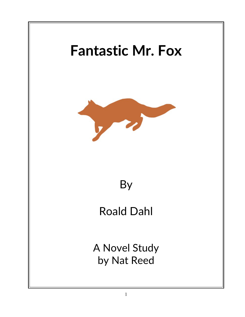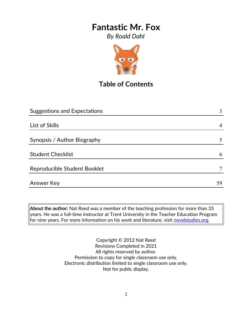*By Roald Dahl*



# **Table of Contents**

| <b>Suggestions and Expectations</b> | 3  |
|-------------------------------------|----|
|                                     |    |
| List of Skills                      | 4  |
|                                     |    |
| Synopsis / Author Biography         | 5  |
|                                     |    |
| <b>Student Checklist</b>            | 6  |
| Reproducible Student Booklet        |    |
| Answer Key                          | 59 |
|                                     |    |

**About the author:** Nat Reed was a member of the teaching profession for more than 35 years. He was a full-time instructor at Trent University in the Teacher Education Program for nine years. For more information on his work and literature, visit [novelstudies.org.](http://www.novelstudies.org/)

> Copyright © 2012 Nat Reed Revisions Completed in 2021 All rights reserved by author. Permission to copy for single classroom use only. Electronic distribution limited to single classroom use only. Not for public display.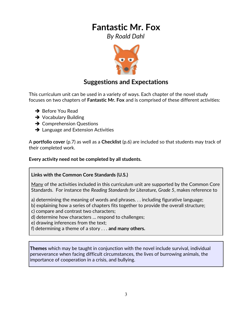*By Roald Dahl*



## **Suggestions and Expectations**

This curriculum unit can be used in a variety of ways. Each chapter of the novel study focuses on two chapters of **Fantastic Mr. Fox** and is comprised of these different activities:

- **→** Before You Read
- **→** Vocabulary Building
- **→ Comprehension Questions**
- **→** Language and Extension Activities

A **portfolio cover** (p.7) as well as a **Checklist** (p.6) are included so that students may track of their completed work.

**Every activity need not be completed by all students.** 

#### **Links with the Common Core Standards (U.S.)**

Many of the activities included in this curriculum unit are supported by the Common Core Standards. For instance the *Reading Standards for Literature, Grade 5*, makes reference to

a) determining the meaning of words and phrases. . . including figurative language;

- b) explaining how a series of chapters fits together to provide the overall structure;
- c) compare and contrast two characters;
- d) determine how characters … respond to challenges;
- e) drawing inferences from the text;
- f) determining a theme of a story . . . **and many others.**

**Themes** which may be taught in conjunction with the novel include survival, individual perseverance when facing difficult circumstances, the lives of burrowing animals, the importance of cooperation in a crisis, and bullying.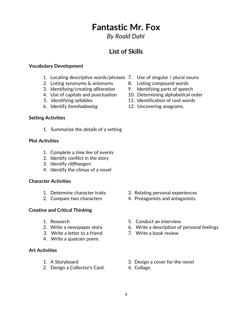*By Roald Dahl*

## **List of Skills**

#### **Vocabulary Development**

- 1. Locating descriptive words/phrases 7. Use of singular / plural nouns
- 2. Listing synonyms & antonyms 8. Listing compound words
- 3. Identifying/creating *alliteration* 9. Identifying parts of speech
- 
- 
- 6. Identify *foreshadowing*. 12. Uncovering anagrams.

#### **Setting Activities**

1. Summarize the details of a setting

#### **Plot Activities**

- 1. Complete a *time line* of events
- 2. Identify conflict in the story
- 3. Identify *cliffhangers*
- 4. Identify the climax of a novel

#### **Character Activities**

- 
- 

#### **Creative and Critical Thinking**

- 
- 
- 3. Write a letter to a friend 7. Write a book review
- 4. Write a quatrain poem.

#### **Art Activities**

- 
- 2. Design a Collector's Card. 4. Collage.
- 
- 
- 
- 4. Use of capitals and punctuation 10. Determining alphabetical order
- 5. Identifying syllables 11. Identification of root words
	-

- 1. Determine character traits 3. Relating personal experiences
- 2. Compare two characters 4. Protagonists and antagonists.
- 1. Research 5. Conduct an interview
- 2. Write a newspaper story 6. Write a description of personal feelings
	-
- 1. A Storyboard 3. Design a cover for the novel
	-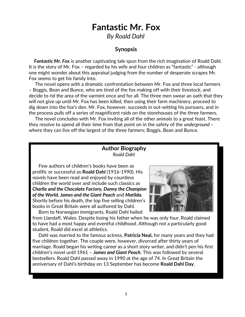*By Roald Dahl*

#### **Synopsis**

 *Fantastic Mr. Fox* is another captivating tale spun from the rich imagination of Roald Dahl. It is the story of Mr. Fox – regarded by his wife and four children as "fantastic" - although one might wonder about this appraisal judging from the number of desperate scrapes Mr. Fox seems to get his family into.

 The novel opens with a dramatic confrontation between Mr. Fox and three local farmers – Boggis, Bean and Bunce, who are tired of the fox making off with their livestock, and decide to rid the area of the varmint once and for all. The three men swear an oath that they will not give up until Mr. Fox has been killed, then using their farm machinery, proceed to dig down into the fox's den. Mr. Fox, however, succeeds in out-witting his pursuers, and in the process pulls off a series of magnificent raids on the storehouses of the three farmers.

 The novel concludes with Mr. Fox inviting all of the other animals to a great feast. There they resolve to spend all their time from that point on in the safety of the *underground* – where they can live off the largest of the three farmers; Boggis, Bean and Bunce.

#### **Author Biography** *Roald Dahl*

 Few authors of children's books have been as prolific or successful as **Roald Dahl** (1916-1990). His novels have been read and enjoyed by countless children the world over and include such classics as *Charlie and the Chocolate Factory, Danny the Champion of the World, James and the Giant Peach* and *Matilda.* Shortly before his death, the top five selling children's books in Great Britain were all authored by Dahl.

Born to Norwegian immigrants, Roald Dahl hailed



from Llandaff, Wales. Despite losing his father when he was only four, Roald claimed to have had a most happy and eventful childhood. Although not a particularly good student, Roald did excel at athletics.

 Dahl was married to the famous actress, **Patricia Neal,** for many years and they had five children together. The couple were, however, divorced after thirty years of marriage. Roald began his writing career as a short story writer, and didn't pen his first children's novel until 1961 – *James and Giant Peach*. This was followed by several bestsellers. Roald Dahl passed away in 1990 at the age of 74. In Great Britain the anniversary of Dahl's birthday on [13 September](http://en.wikipedia.org/wiki/September_13) has become **Roald Dahl Day**.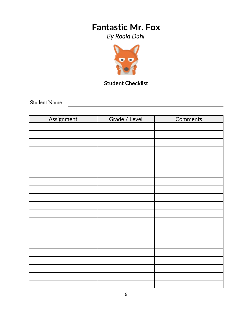*By Roald Dahl*



## **Student Checklist**

Student Name

| Assignment | Grade / Level | <b>Comments</b> |
|------------|---------------|-----------------|
|            |               |                 |
|            |               |                 |
|            |               |                 |
|            |               |                 |
|            |               |                 |
|            |               |                 |
|            |               |                 |
|            |               |                 |
|            |               |                 |
|            |               |                 |
|            |               |                 |
|            |               |                 |
|            |               |                 |
|            |               |                 |
|            |               |                 |
|            |               |                 |
|            |               |                 |
|            |               |                 |
|            |               |                 |
|            |               |                 |
|            |               |                 |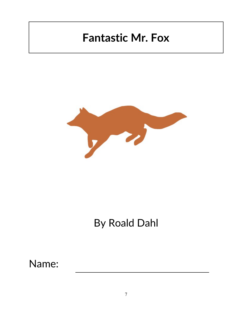

# By Roald Dahl

Name: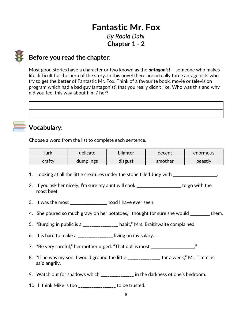# **Fantastic Mr. Fox** *By Roald Dahl* **Chapter 1 - 2**



## **Before you read the chapter**:

Most good stories have a character or two known as the *antagonist* – someone who makes life difficult for the hero of the story. In this novel there are actually three antagonists who try to get the better of Fantastic Mr. Fox. Think of a favourite book, movie or television program which had a bad guy (antagonist) that you really didn't like. Who was this and why did you feel this way about him / her?

# **Vocabulary:**

Choose a word from the list to complete each sentence.

| lurk   | delicate  | blighter | decent  | enormous |
|--------|-----------|----------|---------|----------|
| crafty | dumplings | disgust  | smother | beastly  |

- 1. Looking at all the little creatures under the stone filled Judy with \_\_ .
- 2. If you ask her nicely, I'm sure my aunt will cook \_\_\_\_\_\_\_\_\_\_\_\_\_\_\_\_\_\_\_ to go with the roast beef.
- 3. It was the most \_\_\_\_\_\_\_\_\_\_\_\_\_\_\_\_\_ toad I have ever seen.
- 4. She poured so much gravy on her potatoes, I thought for sure she would \_\_\_\_\_\_\_ them.
- 5. "Burping in public is a \_\_\_\_\_\_\_\_\_\_\_\_\_\_\_\_ habit," Mrs. Braithwaite complained.
- 6. It is hard to make a  $\frac{1}{2}$  =  $\frac{1}{2}$  living on my salary.
- 7. "Be very careful," her mother urged. "That doll is most \_\_\_\_\_\_\_\_\_\_\_\_\_\_\_\_\_\_\_\_\_
- 8. "If he was my son, I would ground the little \_\_\_\_\_\_\_\_\_\_\_\_\_\_\_ for a week," Mr. Timmins said angrily.
- 9. Watch out for shadows which \_\_\_\_\_\_\_\_\_\_\_\_\_\_\_ in the darkness of one's bedroom.
- 10. I think Mike is too \_\_\_\_\_\_\_\_\_\_\_\_\_\_\_\_\_ to be trusted.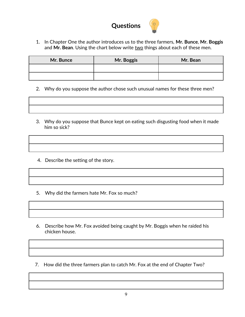

1. In Chapter One the author introduces us to the three farmers, **Mr. Bunce**, **Mr. Boggis** and Mr. Bean. Using the chart below write two things about each of these men.

| Mr. Bunce | Mr. Boggis | Mr. Bean |
|-----------|------------|----------|
|           |            |          |
|           |            |          |

- 2. Why do you suppose the author chose such unusual names for these three men?
- 3. Why do you suppose that Bunce kept on eating such disgusting food when it made him so sick?
- 4. Describe the setting of the story.
- 5. Why did the farmers hate Mr. Fox so much?
- 6. Describe how Mr. Fox avoided being caught by Mr. Boggis when he raided his chicken house.
- 7. How did the three farmers plan to catch Mr. Fox at the end of Chapter Two?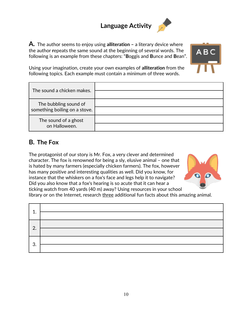# **Language Activity**





Using your imagination, create your own examples of **alliteration** from the following topics. Each example must contain a minimum of three words.

| The sound a chicken makes.                             |  |
|--------------------------------------------------------|--|
| The bubbling sound of<br>something boiling on a stove. |  |
| The sound of a ghost<br>on Halloween.                  |  |

### **B. The Fox**

The protagonist of our story is Mr. Fox, a very clever and determined character. The fox is renowned for being a sly, elusive animal – one that is hated by many farmers (especially chicken farmers). The fox, however has many positive and interesting qualities as well. Did you know, for instance that the whiskers on a fox's face and legs help it to navigate? Did you also know that a fox's hearing is so acute that it can hear a ticking watch from 40 yards (40 m) away? Using resources in your school



library or on the Internet, research three additional fun facts about this amazing animal.

| 1.               |                                         |
|------------------|-----------------------------------------|
|                  | <u> 1989 - Johann Barbara, martxa a</u> |
| $\overline{2}$ . |                                         |
| 3.               |                                         |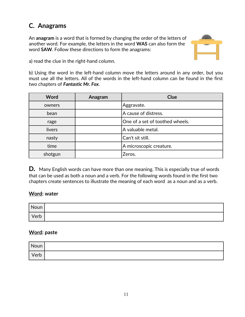# **C. Anagrams**

An **anagram** is a word that is formed by changing the order of the letters of another word. For example, the letters in the word **WAS** can also form the word **SAW**. Follow these directions to form the anagrams:



a) read the clue in the right-hand column.

b) Using the word in the left-hand column move the letters around in any order, but you must use all the letters. All of the words in the left-hand column can be found in the first two chapters of *Fantastic Mr. Fox*.

| <b>Word</b> | Anagram | <b>Clue</b>                     |
|-------------|---------|---------------------------------|
| owners      |         | Aggravate.                      |
| bean        |         | A cause of distress.            |
| rage        |         | One of a set of toothed wheels. |
| livers      |         | A valuable metal.               |
| nasty       |         | Can't sit still.                |
| time        |         | A microscopic creature.         |
| shotgun     |         | Zeros.                          |

**D***.*Many English words can have more than one meaning. This is especially true of words that can be used as both a noun and a verb. For the following words found in the first two chapters create sentences to illustrate the meaning of each word as a noun and as a verb.

#### **Word: water**

| Noun |  |
|------|--|
| Verb |  |

#### **Word: paste**

| Noun |  |
|------|--|
| Verb |  |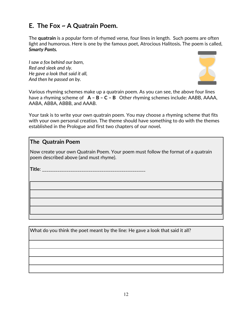## **E. The Fox ~ A Quatrain Poem.**

The **quatrain** is a popular form of rhymed verse, four lines in length. Such poems are often light and humorous. Here is one by the famous poet, Atrocious Halitosis*.* The poem is called, *Smarty Pants.* 

*I saw a fox behind our barn, Red and sleek and sly. He gave a look that said it all, And then he passed on by.*



Various rhyming schemes make up a quatrain poem. As you can see, the above four lines have a rhyming scheme of **A – B – C – B** Other rhyming schemes include: AABB, AAAA, AABA, ABBA, ABBB, and AAAB.

Your task is to write your own quatrain poem. You may choose a rhyming scheme that fits with your own personal creation. The theme should have something to do with the themes established in the Prologue and first two chapters of our novel*.*

#### **The Quatrain Poem**

Now create your own Quatrain Poem. Your poem must follow the format of a quatrain poem described above (and must rhyme).

**Title**: \_\_\_\_\_\_\_\_\_\_\_\_\_\_\_\_\_\_\_\_\_\_\_\_\_\_\_\_\_\_\_\_\_\_\_\_\_\_\_\_\_\_\_\_\_\_\_

What do you think the poet meant by the line: He gave a look that said it all?